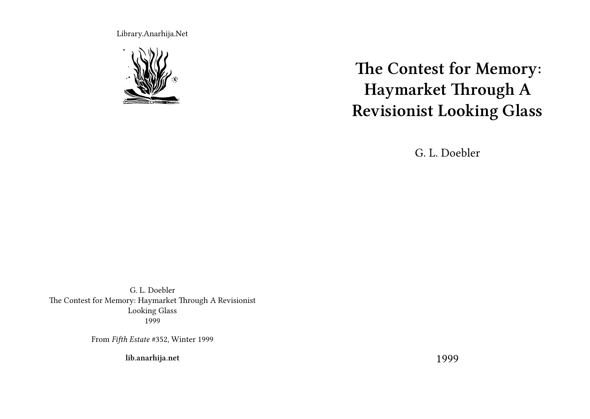Library.Anarhija.Net



**The Contest for Memory: Haymarket Through A Revisionist Looking Glass**

G. L. Doebler

G. L. Doebler The Contest for Memory: Haymarket Through A Revisionist Looking Glass 1999

From *Fifth Estate* #352, Winter 1999

**lib.anarhija.net**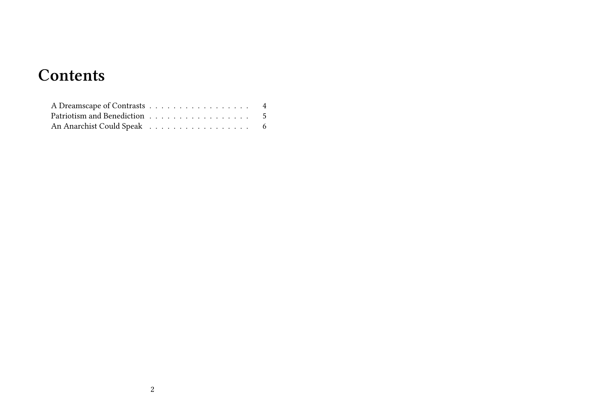## **Contents**

| An Anarchist Could Speak 6 |  |  |  |  |  |  |  |  |  |  |
|----------------------------|--|--|--|--|--|--|--|--|--|--|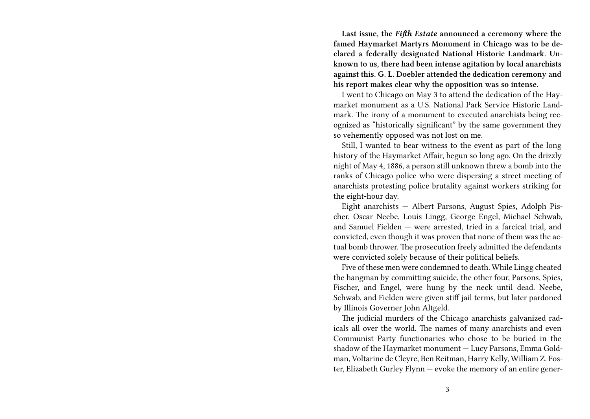**Last issue, the** *Fifth Estate* **announced a ceremony where the famed Haymarket Martyrs Monument in Chicago was to be declared a federally designated National Historic Landmark. Unknown to us, there had been intense agitation by local anarchists against this. G. L. Doebler attended the dedication ceremony and his report makes clear why the opposition was so intense.**

I went to Chicago on May 3 to attend the dedication of the Haymarket monument as a U.S. National Park Service Historic Landmark. The irony of a monument to executed anarchists being recognized as "historically significant" by the same government they so vehemently opposed was not lost on me.

Still, I wanted to bear witness to the event as part of the long history of the Haymarket Affair, begun so long ago. On the drizzly night of May 4, 1886, a person still unknown threw a bomb into the ranks of Chicago police who were dispersing a street meeting of anarchists protesting police brutality against workers striking for the eight-hour day.

Eight anarchists — Albert Parsons, August Spies, Adolph Pischer, Oscar Neebe, Louis Lingg, George Engel, Michael Schwab, and Samuel Fielden — were arrested, tried in a farcical trial, and convicted, even though it was proven that none of them was the actual bomb thrower. The prosecution freely admitted the defendants were convicted solely because of their political beliefs.

Five of these men were condemned to death. While Lingg cheated the hangman by committing suicide, the other four, Parsons, Spies, Fischer, and Engel, were hung by the neck until dead. Neebe, Schwab, and Fielden were given stiff jail terms, but later pardoned by Illinois Governer John Altgeld.

The judicial murders of the Chicago anarchists galvanized radicals all over the world. The names of many anarchists and even Communist Party functionaries who chose to be buried in the shadow of the Haymarket monument — Lucy Parsons, Emma Goldman, Voltarine de Cleyre, Ben Reitman, Harry Kelly, William Z. Foster, Elizabeth Gurley Flynn — evoke the memory of an entire gener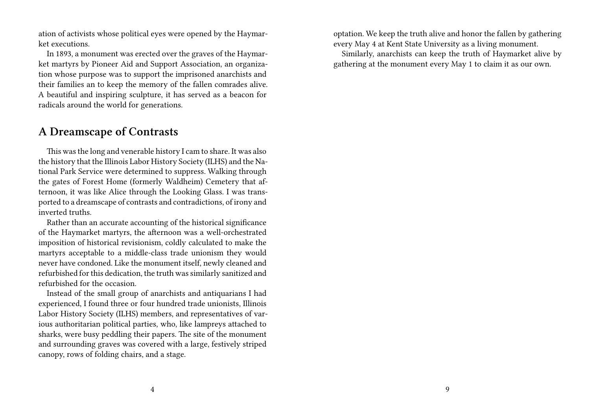ation of activists whose political eyes were opened by the Haymarket executions.

In 1893, a monument was erected over the graves of the Haymarket martyrs by Pioneer Aid and Support Association, an organization whose purpose was to support the imprisoned anarchists and their families an to keep the memory of the fallen comrades alive. A beautiful and inspiring sculpture, it has served as a beacon for radicals around the world for generations.

## **A Dreamscape of Contrasts**

This was the long and venerable history I cam to share. It was also the history that the Illinois Labor History Society (ILHS) and the National Park Service were determined to suppress. Walking through the gates of Forest Home (formerly Waldheim) Cemetery that afternoon, it was like Alice through the Looking Glass. I was transported to a dreamscape of contrasts and contradictions, of irony and inverted truths.

Rather than an accurate accounting of the historical significance of the Haymarket martyrs, the afternoon was a well-orchestrated imposition of historical revisionism, coldly calculated to make the martyrs acceptable to a middle-class trade unionism they would never have condoned. Like the monument itself, newly cleaned and refurbished for this dedication, the truth was similarly sanitized and refurbished for the occasion.

Instead of the small group of anarchists and antiquarians I had experienced, I found three or four hundred trade unionists, Illinois Labor History Society (ILHS) members, and representatives of various authoritarian political parties, who, like lampreys attached to sharks, were busy peddling their papers. The site of the monument and surrounding graves was covered with a large, festively striped canopy, rows of folding chairs, and a stage.

optation. We keep the truth alive and honor the fallen by gathering every May 4 at Kent State University as a living monument.

Similarly, anarchists can keep the truth of Haymarket alive by gathering at the monument every May 1 to claim it as our own.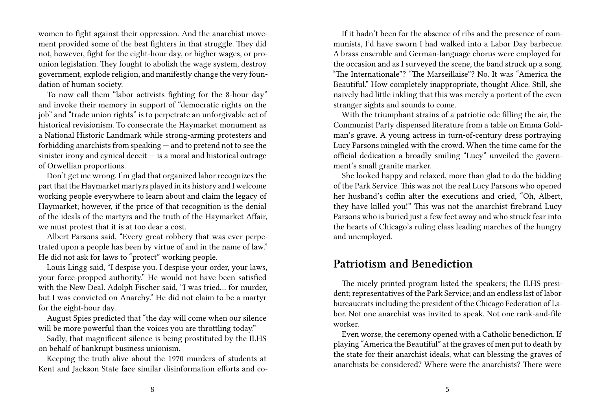women to fight against their oppression. And the anarchist movement provided some of the best fighters in that struggle. They did not, however, fight for the eight-hour day, or higher wages, or prounion legislation. They fought to abolish the wage system, destroy government, explode religion, and manifestly change the very foundation of human society.

To now call them "labor activists fighting for the 8-hour day" and invoke their memory in support of "democratic rights on the job" and "trade union rights" is to perpetrate an unforgivable act of historical revisionism. To consecrate the Haymarket monument as a National Historic Landmark while strong-arming protesters and forbidding anarchists from speaking — and to pretend not to see the sinister irony and cynical deceit  $-$  is a moral and historical outrage of Orwellian proportions.

Don't get me wrong. I'm glad that organized labor recognizes the part that the Haymarket martyrs played in its history and I welcome working people everywhere to learn about and claim the legacy of Haymarket; however, if the price of that recognition is the denial of the ideals of the martyrs and the truth of the Haymarket Affair, we must protest that it is at too dear a cost.

Albert Parsons said, "Every great robbery that was ever perpetrated upon a people has been by virtue of and in the name of law." He did not ask for laws to "protect" working people.

Louis Lingg said, "I despise you. I despise your order, your laws, your force-propped authority." He would not have been satisfied with the New Deal. Adolph Fischer said, "I was tried… for murder, but I was convicted on Anarchy." He did not claim to be a martyr for the eight-hour day.

August Spies predicted that "the day will come when our silence will be more powerful than the voices you are throttling today."

Sadly, that magnificent silence is being prostituted by the ILHS on behalf of bankrupt business unionism.

Keeping the truth alive about the 1970 murders of students at Kent and Jackson State face similar disinformation efforts and co-

If it hadn't been for the absence of ribs and the presence of communists, I'd have sworn I had walked into a Labor Day barbecue. A brass ensemble and German-language chorus were employed for the occasion and as I surveyed the scene, the band struck up a song. "The Internationale"? "The Marseillaise"? No. It was "America the Beautiful." How completely inappropriate, thought Alice. Still, she naively had little inkling that this was merely a portent of the even stranger sights and sounds to come.

With the triumphant strains of a patriotic ode filling the air, the Communist Party dispensed literature from a table on Emma Goldman's grave. A young actress in turn-of-century dress portraying Lucy Parsons mingled with the crowd. When the time came for the official dedication a broadly smiling "Lucy" unveiled the government's small granite marker.

She looked happy and relaxed, more than glad to do the bidding of the Park Service. This was not the real Lucy Parsons who opened her husband's coffin after the executions and cried, "Oh, Albert, they have killed you!" This was not the anarchist firebrand Lucy Parsons who is buried just a few feet away and who struck fear into the hearts of Chicago's ruling class leading marches of the hungry and unemployed.

## **Patriotism and Benediction**

The nicely printed program listed the speakers; the ILHS president; representatives of the Park Service; and an endless list of labor bureaucrats including the president of the Chicago Federation of Labor. Not one anarchist was invited to speak. Not one rank-and-file worker.

Even worse, the ceremony opened with a Catholic benediction. If playing "America the Beautiful" at the graves of men put to death by the state for their anarchist ideals, what can blessing the graves of anarchists be considered? Where were the anarchists? There were